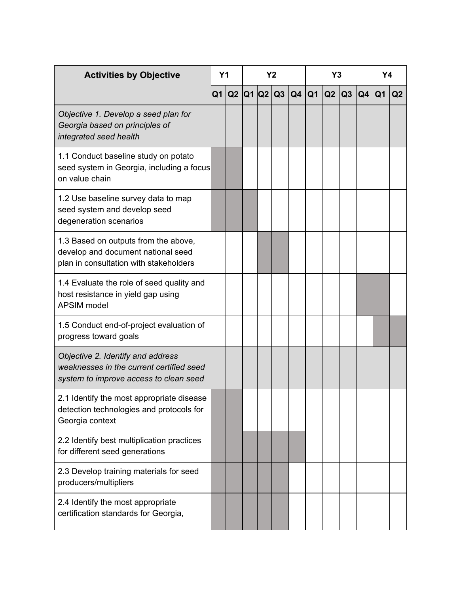| <b>Activities by Objective</b>                                                                                          | Y <sub>1</sub> |  | <b>Y2</b> |  |  |                        | Y3 |  |           |                | Y4 |                |
|-------------------------------------------------------------------------------------------------------------------------|----------------|--|-----------|--|--|------------------------|----|--|-----------|----------------|----|----------------|
|                                                                                                                         | Q <sub>1</sub> |  |           |  |  | Q2  Q1  Q2  Q3  Q4  Q1 |    |  | $Q2$ $Q3$ | Q <sub>4</sub> | Q1 | Q <sub>2</sub> |
| Objective 1. Develop a seed plan for<br>Georgia based on principles of<br>integrated seed health                        |                |  |           |  |  |                        |    |  |           |                |    |                |
| 1.1 Conduct baseline study on potato<br>seed system in Georgia, including a focus<br>on value chain                     |                |  |           |  |  |                        |    |  |           |                |    |                |
| 1.2 Use baseline survey data to map<br>seed system and develop seed<br>degeneration scenarios                           |                |  |           |  |  |                        |    |  |           |                |    |                |
| 1.3 Based on outputs from the above,<br>develop and document national seed<br>plan in consultation with stakeholders    |                |  |           |  |  |                        |    |  |           |                |    |                |
| 1.4 Evaluate the role of seed quality and<br>host resistance in yield gap using<br>APSIM model                          |                |  |           |  |  |                        |    |  |           |                |    |                |
| 1.5 Conduct end-of-project evaluation of<br>progress toward goals                                                       |                |  |           |  |  |                        |    |  |           |                |    |                |
| Objective 2. Identify and address<br>weaknesses in the current certified seed<br>system to improve access to clean seed |                |  |           |  |  |                        |    |  |           |                |    |                |
| 2.1 Identify the most appropriate disease<br>detection technologies and protocols for<br>Georgia context                |                |  |           |  |  |                        |    |  |           |                |    |                |
| 2.2 Identify best multiplication practices<br>for different seed generations                                            |                |  |           |  |  |                        |    |  |           |                |    |                |
| 2.3 Develop training materials for seed<br>producers/multipliers                                                        |                |  |           |  |  |                        |    |  |           |                |    |                |
| 2.4 Identify the most appropriate<br>certification standards for Georgia,                                               |                |  |           |  |  |                        |    |  |           |                |    |                |